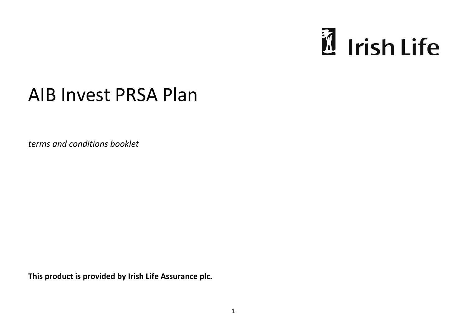

# AIB Invest PRSA Plan

*terms and conditions booklet* 

**This product is provided by Irish Life Assurance plc.**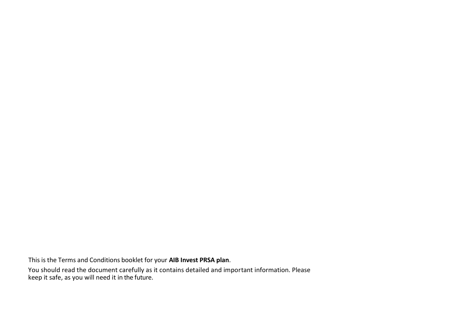This is the Terms and Conditions booklet for your **AIB Invest PRSA plan**.

You should read the document carefully as it contains detailed and important information. Please keep it safe, as you will need it in the future.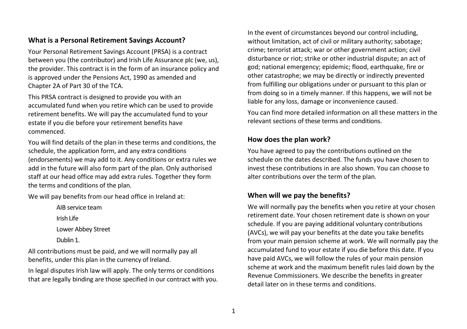#### **What is a Personal Retirement Savings Account?**

Your Personal Retirement Savings Account (PRSA) is a contract between you (the contributor) and Irish Life Assurance plc (we, us), the provider. This contract is in the form of an insurance policy and is approved under the Pensions Act, 1990 as amended and Chapter 2A of Part 30 of the TCA.

This PRSA contract is designed to provide you with an accumulated fund when you retire which can be used to provide retirement benefits. We will pay the accumulated fund to your estate if you die before your retirement benefits have commenced.

You will find details of the plan in these terms and conditions, the schedule, the application form, and any extra conditions (endorsements) we may add to it. Any conditions or extra rules we add in the future will also form part of the plan. Only authorised staff at our head office may add extra rules. Together they form the terms and conditions of the plan.

We will pay benefits from our head office in Ireland at:

AIB service team Irish Life Lower Abbey Street Dublin 1.

All contributions must be paid, and we will normally pay all benefits, under this plan in the currency of Ireland.

In legal disputes Irish law will apply. The only terms or conditions that are legally binding are those specified in our contract with you. In the event of circumstances beyond our control including, without limitation, act of civil or military authority; sabotage; crime; terrorist attack; war or other government action; civil disturbance or riot; strike or other industrial dispute; an act of god; national emergency; epidemic; flood, earthquake, fire or other catastrophe; we may be directly or indirectly prevented from fulfilling our obligations under or pursuant to this plan or from doing so in a timely manner. If this happens, we will not be liable for any loss, damage or inconvenience caused.

You can find more detailed information on all these matters in the relevant sections of these terms and conditions.

#### **How does the plan work?**

You have agreed to pay the contributions outlined on the schedule on the dates described. The funds you have chosen to invest these contributions in are also shown. You can choose to alter contributions over the term of the plan.

#### **When will we pay the benefits?**

We will normally pay the benefits when you retire at your chosen retirement date. Your chosen retirement date is shown on your schedule. If you are paying additional voluntary contributions (AVCs), we will pay your benefits at the date you take benefits from your main pension scheme at work. We will normally pay the accumulated fund to your estate if you die before this date. If you have paid AVCs, we will follow the rules of your main pension scheme at work and the maximum benefit rules laid down by the Revenue Commissioners. We describe the benefits in greater detail later on in these terms and conditions.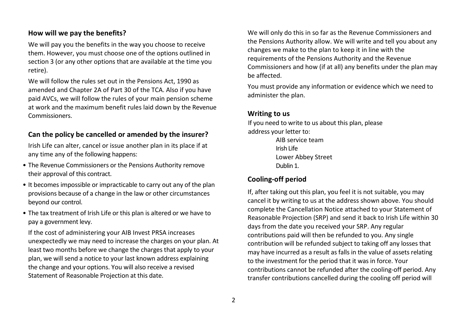#### **How will we pay the benefits?**

We will pay you the benefits in the way you choose to receive them. However, you must choose one of the options outlined in section 3 (or any other options that are available at the time you retire).

We will follow the rules set out in the Pensions Act, 1990 as amended and Chapter 2A of Part 30 of the TCA. Also if you have paid AVCs, we will follow the rules of your main pension scheme at work and the maximum benefit rules laid down by the Revenue Commissioners.

#### **Can the policy be cancelled or amended by the insurer?**

Irish Life can alter, cancel or issue another plan in its place if at any time any of the following happens:

- The Revenue Commissioners or the Pensions Authority remove their approval of this contract.
- It becomes impossible or impracticable to carry out any of the plan provisions because of a change in the law or other circumstances beyond our control.
- The tax treatment of Irish Life or this plan is altered or we have to pay a government levy.

If the cost of administering your AIB Invest PRSA increases unexpectedly we may need to increase the charges on your plan. At least two months before we change the charges that apply to your plan, we will send a notice to your last known address explaining the change and your options. You will also receive a revised Statement of Reasonable Projection at this date.

We will only do this in so far as the Revenue Commissioners and the Pensions Authority allow. We will write and tell you about any changes we make to the plan to keep it in line with the requirements of the Pensions Authority and the Revenue Commissioners and how (if at all) any benefits under the plan may be affected.

You must provide any information or evidence which we need to administer the plan.

#### **Writing to us**

If you need to write to us about this plan, please address your letter to:

> AIB service team Irish Life Lower Abbey Street Dublin 1.

#### **Cooling-off period**

If, after taking out this plan, you feel it is not suitable, you may cancel it by writing to us at the address shown above. You should complete the Cancellation Notice attached to your Statement of Reasonable Projection (SRP) and send it back to Irish Life within 30 days from the date you received your SRP. Any regular contributions paid will then be refunded to you. Any single contribution will be refunded subject to taking off any losses that may have incurred as a result as falls in the value of assets relating to the investment for the period that it was in force. Your contributions cannot be refunded after the cooling-off period. Any transfer contributions cancelled during the cooling off period will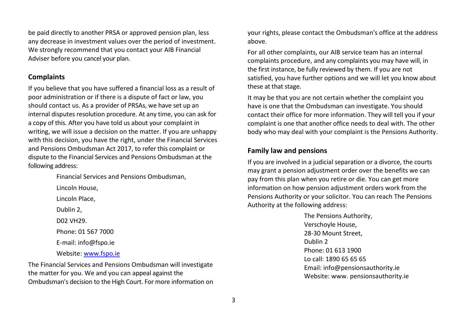be paid directly to another PRSA or approved pension plan, less any decrease in investment values over the period of investment. We strongly recommend that you contact your AIB Financial Adviser before you cancel your plan.

#### **Complaints**

If you believe that you have suffered a financial loss as a result of poor administration or if there is a dispute of fact or law, you should contact us. As a provider of PRSAs, we have set up an internal disputes resolution procedure. At any time, you can ask for a copy of this. After you have told us about your complaint in writing, we will issue a decision on the matter. If you are unhappy with this decision, you have the right, under the Financial Services and Pensions Ombudsman Act 2017, to refer this complaint or dispute to the Financial Services and Pensions Ombudsman at the following address:

> Financial Services and Pensions Ombudsman, Lincoln House, Lincoln Place, Dublin 2, D02 VH29. Phone: 01 567 7000 E-mail: info@fspo.ie Website[: www.fspo.ie](http://www.fspo.ie/)

The Financial Services and Pensions Ombudsman will investigate the matter for you. We and you can appeal against the Ombudsman's decision to the High Court. For more information on your rights, please contact the Ombudsman's office at the address above.

For all other complaints, our AIB service team has an internal complaints procedure, and any complaints you may have will, in the first instance, be fully reviewed by them. If you are not satisfied, you have further options and we will let you know about these at that stage.

It may be that you are not certain whether the complaint you have is one that the Ombudsman can investigate. You should contact their office for more information. They will tell you if your complaint is one that another office needs to deal with. The other body who may deal with your complaint is the Pensions Authority.

#### **Family law and pensions**

If you are involved in a judicial separation or a divorce, the courts may grant a pension adjustment order over the benefits we can pay from this plan when you retire or die. You can get more information on how pension adjustment orders work from the Pensions Authority or your solicitor. You can reach The Pensions Authority at the following address:

> The Pensions Authority, Verschoyle House, 28-30 Mount Street, Dublin 2 Phone: 01 613 1900 Lo call: 1890 65 65 65 Email: info@pensionsauthority.ie Website: www. pensionsauthority.ie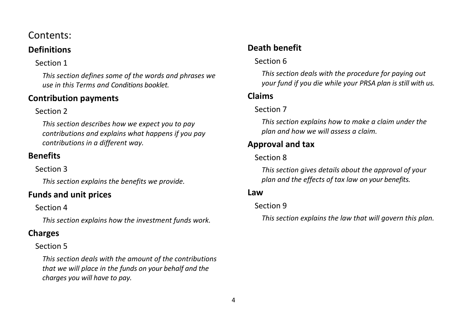## Contents:

## **[Definitions](#page-6-0)**

## [Section 1](#page-6-1)

*[This section defines some of the words and phrases we](#page-6-2)  [use in this Terms and Conditions booklet.](#page-6-2)*

## **[Contribution payments](#page-11-0)**

## [Section 2](#page-11-1)

*[This section describes how we expect you to pay](#page-11-2)  [contributions and explains what happens if you pay](#page-11-2)  [contributions in a different way.](#page-11-2)*

## **[Benefits](#page-14-0)**

[Section 3](#page-14-1)

*[This section explains the benefits we provide.](#page-14-2)*

## **[Funds and unit prices](#page-20-0)**

## [Section 4](#page-21-0)

*[This section explains how the investment funds work.](#page-21-1)*

## **[Charges](#page-29-0)**

## [Section 5](#page-30-0)

*[This section deals with the amount of the contributions](#page-30-1)  [that we will place in the funds on your behalf and the](#page-30-1)  [charges you will have to pay.](#page-30-1)*

## **[Death benefit](#page-31-0)**

## [Section 6](#page-32-0)

*[This section deals with the procedure for paying out](#page-32-1)  [your fund if you die while your PRSA plan is still with us.](#page-32-1)*

## **[Claims](#page-33-0)**

## [Section 7](#page-33-1)

*[This section explains how to make a claim under the](#page-33-2)  [plan and how we will assess a claim.](#page-33-2)*

## **[Approval and tax](#page-33-3)**

## [Section 8](#page-34-0)

*[This section gives details about the approval of your](#page-34-1)  [plan and the effects of tax law on your benefits.](#page-34-1)*

## **Law**

## [Section 9](#page-36-0)

*[This section explains the law that will govern this plan.](#page-36-1)*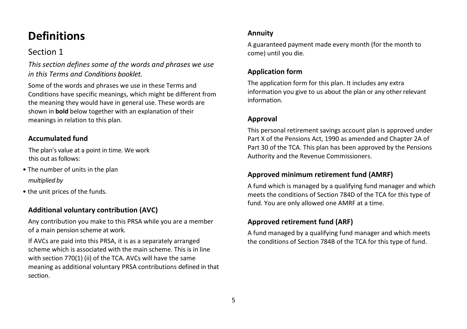## <span id="page-6-0"></span>**Definitions**

## <span id="page-6-1"></span>Section 1

<span id="page-6-2"></span>*This section defines some of the words and phrases we use in this Terms and Conditions booklet.* 

Some of the words and phrases we use in these Terms and Conditions have specific meanings, which might be different from the meaning they would have in general use. These words are shown in **bold** below together with an explanation of their meanings in relation to this plan.

#### **Accumulated fund**

The plan's value at a point in time. We work this out as follows:

- The number of units in the plan *multiplied by*
- the unit prices of the funds.

## **Additional voluntary contribution (AVC)**

Any contribution you make to this PRSA while you are a member of a main pension scheme at work.

If AVCs are paid into this PRSA, it is as a separately arranged scheme which is associated with the main scheme. This is in line with section 770(1) (ii) of the TCA. AVCs will have the same meaning as additional voluntary PRSA contributions defined in that section.

#### **Annuity**

A guaranteed payment made every month (for the month to come) until you die.

### **Application form**

The application form for this plan. It includes any extra information you give to us about the plan or any other relevant information.

### **Approval**

This personal retirement savings account plan is approved under Part X of the Pensions Act, 1990 as amended and Chapter 2A of Part 30 of the TCA. This plan has been approved by the Pensions Authority and the Revenue Commissioners.

#### **Approved minimum retirement fund (AMRF)**

A fund which is managed by a qualifying fund manager and which meets the conditions of Section 784D of the TCA for this type of fund. You are only allowed one AMRF at a time.

### **Approved retirement fund (ARF)**

A fund managed by a qualifying fund manager and which meets the conditions of Section 784B of the TCA for this type of fund.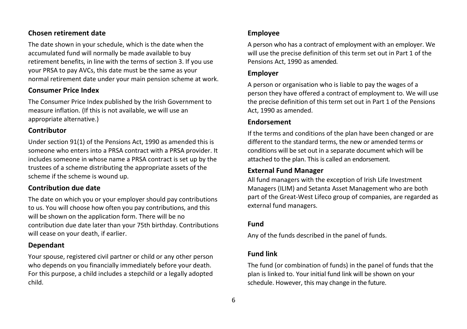#### **Chosen retirement date**

The date shown in your schedule, which is the date when the accumulated fund will normally be made available to buy retirement benefits, in line with the terms of section 3. If you use your PRSA to pay AVCs, this date must be the same as your normal retirement date under your main pension scheme at work.

#### **Consumer Price Index**

The Consumer Price Index published by the Irish Government to measure inflation. (If this is not available, we will use an appropriate alternative.)

#### **Contributor**

Under section 91(1) of the Pensions Act, 1990 as amended this is someone who enters into a PRSA contract with a PRSA provider. It includes someone in whose name a PRSA contract is set up by the trustees of a scheme distributing the appropriate assets of the scheme if the scheme is wound up.

#### **Contribution due date**

The date on which you or your employer should pay contributions to us. You will choose how often you pay contributions, and this will be shown on the application form. There will be no contribution due date later than your 75th birthday. Contributions will cease on your death, if earlier.

#### **Dependant**

Your spouse, registered civil partner or child or any other person who depends on you financially immediately before your death. For this purpose, a child includes a stepchild or a legally adopted child.

#### **Employee**

A person who has a contract of employment with an employer. We will use the precise definition of this term set out in Part 1 of the Pensions Act, 1990 as amended.

#### **Employer**

A person or organisation who is liable to pay the wages of a person they have offered a contract of employment to. We will use the precise definition of this term set out in Part 1 of the Pensions Act, 1990 as amended.

#### **Endorsement**

If the terms and conditions of the plan have been changed or are different to the standard terms, the new or amended terms or conditions will be set out in a separate document which will be attached to the plan. This is called an endorsement.

#### **External Fund Manager**

All fund managers with the exception of Irish Life Investment Managers (ILIM) and Setanta Asset Management who are both part of the Great-West Lifeco group of companies, are regarded as external fund managers.

#### **Fund**

Any of the funds described in the panel of funds.

#### **Fund link**

The fund (or combination of funds) in the panel of funds that the plan is linked to. Your initial fund link will be shown on your schedule. However, this may change in the future.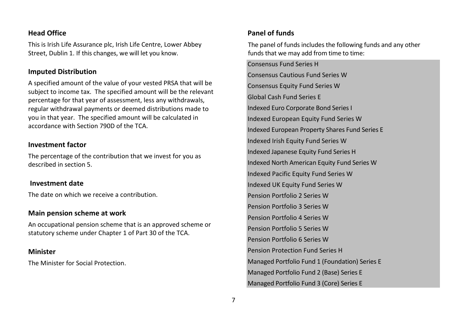#### **Head Office**

This is Irish Life Assurance plc, Irish Life Centre, Lower Abbey Street, Dublin 1. If this changes, we will let you know.

#### **Imputed Distribution**

A specified amount of the value of your vested PRSA that will be subject to income tax. The specified amount will be the relevant percentage for that year of assessment, less any withdrawals, regular withdrawal payments or deemed distributions made to you in that year. The specified amount will be calculated in accordance with Section 790D of the TCA.

#### **Investment factor**

The percentage of the contribution that we invest for you as described in section 5.

#### **Investment date**

The date on which we receive a contribution.

#### **Main pension scheme at work**

An occupational pension scheme that is an approved scheme or statutory scheme under Chapter 1 of Part 30 of the TCA.

#### **Minister**

The Minister for Social Protection.

### **Panel of funds**

The panel of funds includes the following funds and any other funds that we may add from time to time:

Consensus Fund Series H Consensus Cautious Fund Series W Consensus Equity Fund Series W Global Cash Fund Series E Indexed Euro Corporate Bond Series I Indexed European Equity Fund Series W Indexed European Property Shares Fund Series E Indexed Irish Equity Fund Series W Indexed Japanese Equity Fund Series H Indexed North American Equity Fund Series W Indexed Pacific Equity Fund Series W Indexed UK Equity Fund Series W Pension Portfolio 2 Series W Pension Portfolio 3 Series W Pension Portfolio 4 Series W Pension Portfolio 5 Series W Pension Portfolio 6 Series W Pension Protection Fund Series H Managed Portfolio Fund 1 (Foundation) Series E Managed Portfolio Fund 2 (Base) Series E Managed Portfolio Fund 3 (Core) Series E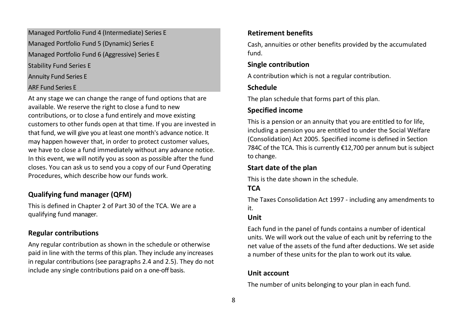Managed Portfolio Fund 4 (Intermediate) Series E Managed Portfolio Fund 5 (Dynamic) Series E Managed Portfolio Fund 6 (Aggressive) Series E Stability Fund Series E Annuity Fund Series E ARF Fund Series E

At any stage we can change the range of fund options that are available. We reserve the right to close a fund to new contributions, or to close a fund entirely and move existing customers to other funds open at that time. If you are invested in that fund, we will give you at least one month's advance notice. It may happen however that, in order to protect customer values, we have to close a fund immediately without any advance notice. In this event, we will notify you as soon as possible after the fund closes. You can ask us to send you a copy of our Fund Operating Procedures, which describe how our funds work.

#### **Qualifying fund manager (QFM)**

This is defined in Chapter 2 of Part 30 of the TCA. We are a qualifying fund manager.

#### **Regular contributions**

Any regular contribution as shown in the schedule or otherwise paid in line with the terms of this plan. They include any increases in regular contributions (see paragraphs 2.4 and 2.5). They do not include any single contributions paid on a one-off basis.

#### **Retirement benefits**

Cash, annuities or other benefits provided by the accumulated fund.

#### **Single contribution**

A contribution which is not a regular contribution.

#### **Schedule**

The plan schedule that forms part of this plan.

#### **Specified income**

This is a pension or an annuity that you are entitled to for life, including a pension you are entitled to under the Social Welfare (Consolidation) Act 2005. Specified income is defined in Section 784C of the TCA. This is currently €12,700 per annum but is subject to change.

### **Start date of the plan**

This is the date shown in the schedule.

### **TCA**

The Taxes Consolidation Act 1997 - including any amendments to it.

#### **Unit**

Each fund in the panel of funds contains a number of identical units. We will work out the value of each unit by referring to the net value of the assets of the fund after deductions. We set aside a number of these units for the plan to work out its value.

#### **Unit account**

The number of units belonging to your plan in each fund.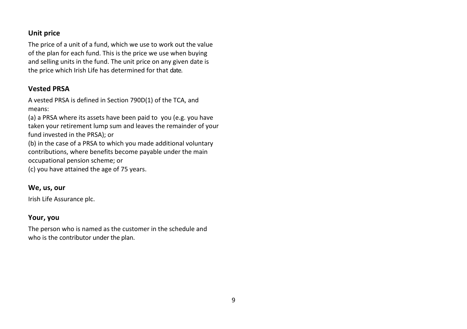#### **Unit price**

The price of a unit of a fund, which we use to work out the value of the plan for each fund. This is the price we use when buying and selling units in the fund. The unit price on any given date is the price which Irish Life has determined for that date.

#### **Vested PRSA**

A vested PRSA is defined in Section 790D(1) of the TCA, and means:

(a) a PRSA where its assets have been paid to you (e.g. you have taken your retirement lump sum and leaves the remainder of your fund invested in the PRSA); or

(b) in the case of a PRSA to which you made additional voluntary contributions, where benefits become payable under the main occupational pension scheme; or

(c) you have attained the age of 75 years.

#### **We, us, our**

Irish Life Assurance plc.

#### **Your, you**

The person who is named as the customer in the schedule and who is the contributor under the plan.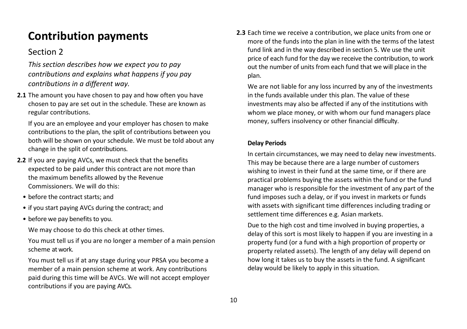## <span id="page-11-0"></span>**Contribution payments**

## <span id="page-11-1"></span>Section 2

<span id="page-11-2"></span>*This section describes how we expect you to pay contributions and explains what happens if you pay contributions in a different way.*

**2.1** The amount you have chosen to pay and how often you have chosen to pay are set out in the schedule. These are known as regular contributions.

If you are an employee and your employer has chosen to make contributions to the plan, the split of contributions between you both will be shown on your schedule. We must be told about any change in the split of contributions.

- **2.2** If you are paying AVCs, we must check that the benefits expected to be paid under this contract are not more than the maximum benefits allowed by the Revenue Commissioners. We will do this:
	- before the contract starts; and
	- if you start paying AVCs during the contract; and
	- before we pay benefits to you.

We may choose to do this check at other times.

You must tell us if you are no longer a member of a main pension scheme at work.

You must tell us if at any stage during your PRSA you become a member of a main pension scheme at work. Any contributions paid during this time will be AVCs. We will not accept employer contributions if you are paying AVCs.

**2.3** Each time we receive a contribution, we place units from one or more of the funds into the plan in line with the terms of the latest fund link and in the way described in section 5. We use the unit price of each fund for the day we receive the contribution, to work out the number of units from each fund that we will place in the plan.

We are not liable for any loss incurred by any of the investments in the funds available under this plan. The value of these investments may also be affected if any of the institutions with whom we place money, or with whom our fund managers place money, suffers insolvency or other financial difficulty.

#### **Delay Periods**

In certain circumstances, we may need to delay new investments. This may be because there are a large number of customers wishing to invest in their fund at the same time, or if there are practical problems buying the assets within the fund or the fund manager who is responsible for the investment of any part of the fund imposes such a delay, or if you invest in markets or funds with assets with significant time differences including trading or settlement time differences e.g. Asian markets.

Due to the high cost and time involved in buying properties, a delay of this sort is most likely to happen if you are investing in a property fund (or a fund with a high proportion of property or property related assets). The length of any delay will depend on how long it takes us to buy the assets in the fund. A significant delay would be likely to apply in this situation.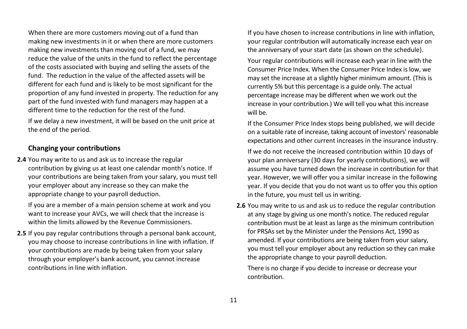When there are more customers moving out of a fund than making new investments in it or when there are more customers making new investments than moving out of a fund, we may reduce the value of the units in the fund to reflect the percentage of the costs associated with buying and selling the assets of the fund. The reduction in the value of the affected assets will be different for each fund and is likely to be most significant for the proportion of any fund invested in property. The reduction for any part of the fund invested with fund managers may happen at a different time to the reduction for the rest of the fund.

If we delay a new investment, it will be based on the unit price at the end of the period.

#### **Changing your contributions**

**2.4** You may write to us and ask us to increase the regular contribution by giving us at least one calendar month's notice. If your contributions are being taken from your salary, you must tell your employer about any increase so they can make the appropriate change to your payroll deduction.

If you are a member of a main pension scheme at work and you want to increase your AVCs, we will check that the increase is within the limits allowed by the Revenue Commissioners.

**2.5** If you pay regular contributions through a personal bank account, you may choose to increase contributions in line with inflation. If your contributions are made by being taken from your salary through your employer's bank account, you cannot increase contributions in line with inflation.

If you have chosen to increase contributions in line with inflation, your regular contribution will automatically increase each year on the anniversary of your start date (as shown on the schedule).

Your regular contributions will increase each year in line with the Consumer Price Index. When the Consumer Price Index is low, we may set the increase at a slightly higher minimum amount. (This is currently 5% but this percentage is a guide only. The actual percentage increase may be different when we work out the increase in your contribution.) We will tell you what this increase will be.

If the Consumer Price Index stops being published, we will decide on a suitable rate of increase, taking account of investors' reasonable expectations and other current increases in the insurance industry.

If we do not receive the increased contribution within 10 days of your plan anniversary (30 days for yearly contributions), we will assume you have turned down the increase in contribution for that year. However, we will offer you a similar increase in the following year. If you decide that you do not want us to offer you this option in the future, you must tell us in writing.

**2.6** You may write to us and ask us to reduce the regular contribution at any stage by giving us one month's notice. The reduced regular contribution must be at least as large as the minimum contribution for PRSAs set by the Minister under the Pensions Act, 1990 as amended. If your contributions are being taken from your salary, you must tell your employer about any reduction so they can make the appropriate change to your payroll deduction.

There is no charge if you decide to increase or decrease your contribution.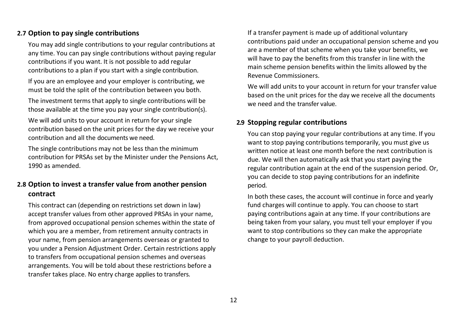#### **2.7 Option to pay single contributions**

You may add single contributions to your regular contributions at any time. You can pay single contributions without paying regular contributions if you want. It is not possible to add regular contributions to a plan if you start with a single contribution.

If you are an employee and your employer is contributing, we must be told the split of the contribution between you both.

The investment terms that apply to single contributions will be those available at the time you pay your single contribution(s).

We will add units to your account in return for your single contribution based on the unit prices for the day we receive your contribution and all the documents we need.

The single contributions may not be less than the minimum contribution for PRSAs set by the Minister under the Pensions Act, 1990 as amended.

### **2.8 Option to invest a transfer value from another pension contract**

This contract can (depending on restrictions set down in law) accept transfer values from other approved PRSAs in your name, from approved occupational pension schemes within the state of which you are a member, from retirement annuity contracts in your name, from pension arrangements overseas or granted to you under a Pension Adjustment Order. Certain restrictions apply to transfers from occupational pension schemes and overseas arrangements. You will be told about these restrictions before a transfer takes place. No entry charge applies to transfers.

If a transfer payment is made up of additional voluntary contributions paid under an occupational pension scheme and you are a member of that scheme when you take your benefits, we will have to pay the benefits from this transfer in line with the main scheme pension benefits within the limits allowed by the Revenue Commissioners.

We will add units to your account in return for your transfer value based on the unit prices for the day we receive all the documents we need and the transfer value.

#### **2.9 Stopping regular contributions**

You can stop paying your regular contributions at any time. If you want to stop paying contributions temporarily, you must give us written notice at least one month before the next contribution is due. We will then automatically ask that you start paying the regular contribution again at the end of the suspension period. Or, you can decide to stop paying contributions for an indefinite period.

In both these cases, the account will continue in force and yearly fund charges will continue to apply. You can choose to start paying contributions again at any time. If your contributions are being taken from your salary, you must tell your employer if you want to stop contributions so they can make the appropriate change to your payroll deduction.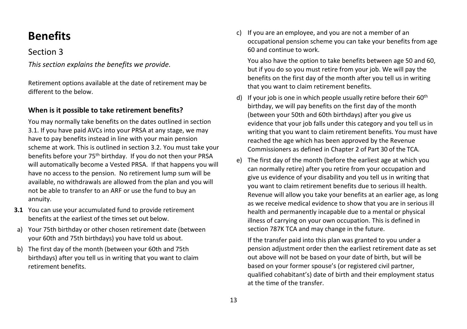## <span id="page-14-0"></span>**Benefits**

### <span id="page-14-1"></span>Section 3

<span id="page-14-2"></span>*This section explains the benefits we provide.* 

Retirement options available at the date of retirement may be different to the below.

#### **When is it possible to take retirement benefits?**

You may normally take benefits on the dates outlined in section 3.1. If you have paid AVCs into your PRSA at any stage, we may have to pay benefits instead in line with your main pension scheme at work. This is outlined in section 3.2. You must take your benefits before your 75th birthday. If you do not then your PRSA will automatically become a Vested PRSA. If that happens you will have no access to the pension. No retirement lump sum will be available, no withdrawals are allowed from the plan and you will not be able to transfer to an ARF or use the fund to buy an annuity.

- **3.1** You can use your accumulated fund to provide retirement benefits at the earliest of the times set out below.
- a) Your 75th birthday or other chosen retirement date (between your 60th and 75th birthdays) you have told us about.
- b) The first day of the month (between your 60th and 75th birthdays) after you tell us in writing that you want to claim retirement benefits.

c) If you are an employee, and you are not a member of an occupational pension scheme you can take your benefits from age 60 and continue to work.

You also have the option to take benefits between age 50 and 60, but if you do so you must retire from your job. We will pay the benefits on the first day of the month after you tell us in writing that you want to claim retirement benefits.

- d) If your job is one in which people usually retire before their  $60<sup>th</sup>$ birthday, we will pay benefits on the first day of the month (between your 50th and 60th birthdays) after you give us evidence that your job falls under this category and you tell us in writing that you want to claim retirement benefits. You must have reached the age which has been approved by the Revenue Commissioners as defined in Chapter 2 of Part 30 of the TCA.
- e) The first day of the month (before the earliest age at which you can normally retire) after you retire from your occupation and give us evidence of your disability and you tell us in writing that you want to claim retirement benefits due to serious ill health. Revenue will allow you take your benefits at an earlier age, as long as we receive medical evidence to show that you are in serious ill health and permanently incapable due to a mental or physical illness of carrying on your own occupation. This is defined in section 787K TCA and may change in the future.

If the transfer paid into this plan was granted to you under a pension adjustment order then the earliest retirement date as set out above will not be based on your date of birth, but will be based on your former spouse's (or registered civil partner, qualified cohabitant's) date of birth and their employment status at the time of the transfer.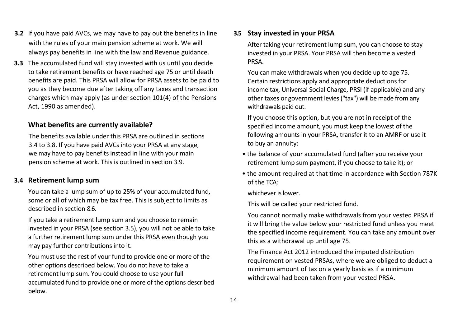- **3.2** If you have paid AVCs, we may have to pay out the benefits in line with the rules of your main pension scheme at work. We will always pay benefits in line with the law and Revenue guidance.
- **3.3** The accumulated fund will stay invested with us until you decide to take retirement benefits or have reached age 75 or until death benefits are paid. This PRSA will allow for PRSA assets to be paid to you as they become due after taking off any taxes and transaction charges which may apply (as under section 101(4) of the Pensions Act, 1990 as amended).

#### **What benefits are currently available?**

The benefits available under this PRSA are outlined in sections 3.4 to 3.8. If you have paid AVCs into your PRSA at any stage, we may have to pay benefits instead in line with your main pension scheme at work. This is outlined in section 3.9.

#### **3.4 Retirement lump sum**

You can take a lump sum of up to 25% of your accumulated fund, some or all of which may be tax free. This is subject to limits as described in section 8.6.

If you take a retirement lump sum and you choose to remain invested in your PRSA (see section 3.5), you will not be able to take a further retirement lump sum under this PRSA even though you may pay further contributions into it.

You must use the rest of your fund to provide one or more of the other options described below. You do not have to take a retirement lump sum. You could choose to use your full accumulated fund to provide one or more of the options described below.

#### **3.5 Stay invested in your PRSA**

After taking your retirement lump sum, you can choose to stay invested in your PRSA. Your PRSA will then become a vested PRSA.

You can make withdrawals when you decide up to age 75. Certain restrictions apply and appropriate deductions for income tax, Universal Social Charge, PRSI (if applicable) and any other taxes or government levies ("tax") will be made from any withdrawals paid out.

If you choose this option, but you are not in receipt of the specified income amount, you must keep the lowest of the following amounts in your PRSA, transfer it to an AMRF or use it to buy an annuity:

- the balance of your accumulated fund (after you receive your retirement lump sum payment, if you choose to take it); or
- the amount required at that time in accordance with Section 787K of the TCA;

whichever is lower.

This will be called your restricted fund.

You cannot normally make withdrawals from your vested PRSA if it will bring the value below your restricted fund unless you meet the specified income requirement. You can take any amount over this as a withdrawal up until age 75.

The Finance Act 2012 introduced the imputed distribution requirement on vested PRSAs, where we are obliged to deduct a minimum amount of tax on a yearly basis as if a minimum withdrawal had been taken from your vested PRSA.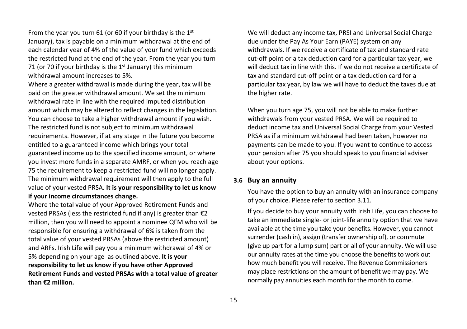From the year you turn 61 (or 60 if your birthday is the  $1<sup>st</sup>$ January), tax is payable on a minimum withdrawal at the end of each calendar year of 4% of the value of your fund which exceeds the restricted fund at the end of the year. From the year you turn 71 (or 70 if your birthday is the  $1<sup>st</sup>$  January) this minimum withdrawal amount increases to 5%.

Where a greater withdrawal is made during the year, tax will be paid on the greater withdrawal amount. We set the minimum withdrawal rate in line with the required imputed distribution amount which may be altered to reflect changes in the legislation. You can choose to take a higher withdrawal amount if you wish. The restricted fund is not subject to minimum withdrawal requirements. However, if at any stage in the future you become entitled to a guaranteed income which brings your total guaranteed income up to the specified income amount, or where you invest more funds in a separate AMRF, or when you reach age 75 the requirement to keep a restricted fund will no longer apply. The minimum withdrawal requirement will then apply to the full value of your vested PRSA. **It is your responsibility to let us know if your income circumstances change.**

Where the total value of your Approved Retirement Funds and vested PRSAs (less the restricted fund if any) is greater than €2 million, then you will need to appoint a nominee QFM who will be responsible for ensuring a withdrawal of 6% is taken from the total value of your vested PRSAs (above the restricted amount) and ARFs. Irish Life will pay you a minimum withdrawal of 4% or 5% depending on your age as outlined above. **It is your responsibility to let us know if you have other Approved Retirement Funds and vested PRSAs with a total value of greater than €2 million.**

We will deduct any income tax, PRSI and Universal Social Charge due under the Pay As Your Earn (PAYE) system on any withdrawals. If we receive a certificate of tax and standard rate cut-off point or a tax deduction card for a particular tax year, we will deduct tax in line with this. If we do not receive a certificate of tax and standard cut-off point or a tax deduction card for a particular tax year, by law we will have to deduct the taxes due at the higher rate.

When you turn age 75, you will not be able to make further withdrawals from your vested PRSA. We will be required to deduct income tax and Universal Social Charge from your Vested PRSA as if a minimum withdrawal had been taken, however no payments can be made to you. If you want to continue to access your pension after 75 you should speak to you financial adviser about your options.

#### **3.6 Buy an annuity**

You have the option to buy an annuity with an insurance company of your choice. Please refer to section 3.11.

If you decide to buy your annuity with Irish Life, you can choose to take an immediate single- or joint-life annuity option that we have available at the time you take your benefits. However, you cannot surrender (cash in), assign (transfer ownership of), or commute (give up part for a lump sum) part or all of your annuity. We will use our annuity rates at the time you choose the benefits to work out how much benefit you will receive. The Revenue Commissioners may place restrictions on the amount of benefit we may pay. We normally pay annuities each month for the month to come.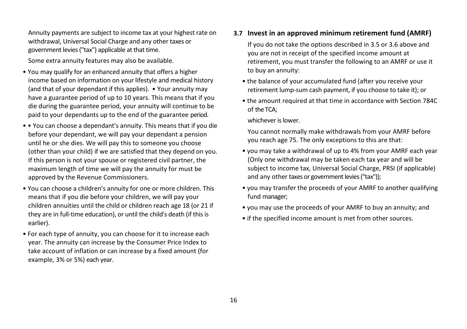Annuity payments are subject to income tax at your highest rate on withdrawal, Universal Social Charge and any other taxes or government levies ("tax") applicable at that time.

Some extra annuity features may also be available.

- You may qualify for an enhanced annuity that offers a higher income based on information on your lifestyle and medical history (and that of your dependant if this applies). • Your annuity may have a guarantee period of up to 10 years. This means that if you die during the guarantee period, your annuity will continue to be paid to your dependants up to the end of the guarantee period.
- • You can choose a dependant's annuity. This means that if you die before your dependant, we will pay your dependant a pension until he or she dies. We will pay this to someone you choose (other than your child) if we are satisfied that they depend on you. If this person is not your spouse or registered civil partner, the maximum length of time we will pay the annuity for must be approved by the Revenue Commissioners.
- You can choose a children's annuity for one or more children. This means that if you die before your children, we will pay your children annuities until the child or children reach age 18 (or 21 if they are in full-time education), or until the child's death (if this is earlier).
- For each type of annuity, you can choose for it to increase each year. The annuity can increase by the Consumer Price Index to take account of inflation or can increase by a fixed amount (for example, 3% or 5%) each year.

#### **3.7 Invest in an approved minimum retirement fund (AMRF)**

If you do not take the options described in 3.5 or 3.6 above and you are not in receipt of the specified income amount at retirement, you must transfer the following to an AMRF or use it to buy an annuity:

- the balance of your accumulated fund (after you receive your retirement lump-sum cash payment, if you choose to take it); or
- the amount required at that time in accordance with Section 784C of the TCA;

whichever is lower.

You cannot normally make withdrawals from your AMRF before you reach age 75. The only exceptions to this are that:

- you may take a withdrawal of up to 4% from your AMRF each year (Only one withdrawal may be taken each tax year and will be subject to income tax, Universal Social Charge, PRSI (if applicable) and any other taxes or government levies ("tax"));
- you may transfer the proceeds of your AMRF to another qualifying fund manager;
- you may use the proceeds of your AMRF to buy an annuity; and
- if the specified income amount is met from other sources.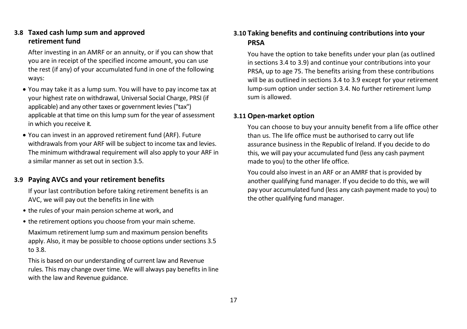#### **3.8 Taxed cash lump sum and approved retirement fund**

After investing in an AMRF or an annuity, or if you can show that you are in receipt of the specified income amount, you can use the rest (if any) of your accumulated fund in one of the following ways:

- You may take it as a lump sum. You will have to pay income tax at your highest rate on withdrawal, Universal Social Charge, PRSI (if applicable) and any other taxes or government levies ("tax") applicable at that time on this lump sum for the year of assessment in which you receive it.
- You can invest in an approved retirement fund (ARF). Future withdrawals from your ARF will be subject to income tax and levies. The minimum withdrawal requirement will also apply to your ARF in a similar manner as set out in section 3.5.

#### **3.9 Paying AVCs and your retirement benefits**

If your last contribution before taking retirement benefits is an AVC, we will pay out the benefits in line with

- the rules of your main pension scheme at work, and
- the retirement options you choose from your main scheme.

Maximum retirement lump sum and maximum pension benefits apply. Also, it may be possible to choose options under sections 3.5 to 3.8.

This is based on our understanding of current law and Revenue rules. This may change over time. We will always pay benefits in line with the law and Revenue guidance.

#### **3.10 Taking benefits and continuing contributions into your PRSA**

You have the option to take benefits under your plan (as outlined in sections 3.4 to 3.9) and continue your contributions into your PRSA, up to age 75. The benefits arising from these contributions will be as outlined in sections 3.4 to 3.9 except for your retirement lump-sum option under section 3.4. No further retirement lump sum is allowed.

#### **3.11 Open-market option**

You can choose to buy your annuity benefit from a life office other than us. The life office must be authorised to carry out life assurance business in the Republic of Ireland. If you decide to do this, we will pay your accumulated fund (less any cash payment made to you) to the other life office.

You could also invest in an ARF or an AMRF that is provided by another qualifying fund manager. If you decide to do this, we will pay your accumulated fund (less any cash payment made to you) to the other qualifying fund manager.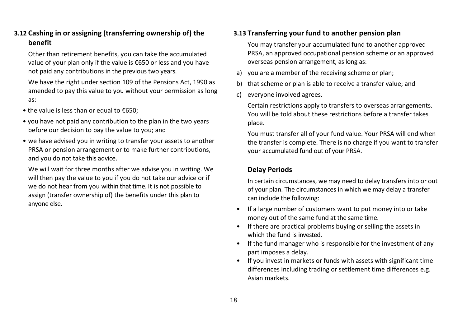#### **3.12 Cashing in or assigning (transferring ownership of) the benefit**

Other than retirement benefits, you can take the accumulated value of your plan only if the value is €650 or less and you have not paid any contributions in the previous two years.

We have the right under section 109 of the Pensions Act, 1990 as amended to pay this value to you without your permission as long as:

- the value is less than or equal to €650;
- you have not paid any contribution to the plan in the two years before our decision to pay the value to you; and
- we have advised you in writing to transfer your assets to another PRSA or pension arrangement or to make further contributions, and you do not take this advice.

We will wait for three months after we advise you in writing. We will then pay the value to you if you do not take our advice or if we do not hear from you within that time. It is not possible to assign (transfer ownership of) the benefits under this plan to anyone else.

#### **3.13 Transferring your fund to another pension plan**

You may transfer your accumulated fund to another approved PRSA, an approved occupational pension scheme or an approved overseas pension arrangement, as long as:

- a) you are a member of the receiving scheme or plan;
- b) that scheme or plan is able to receive a transfer value; and
- c) everyone involved agrees.

Certain restrictions apply to transfers to overseas arrangements. You will be told about these restrictions before a transfer takes place.

You must transfer all of your fund value. Your PRSA will end when the transfer is complete. There is no charge if you want to transfer your accumulated fund out of your PRSA.

#### **Delay Periods**

In certain circumstances, we may need to delay transfers into or out of your plan. The circumstances in which we may delay a transfer can include the following:

- If a large number of customers want to put money into or take money out of the same fund at the same time.
- If there are practical problems buying or selling the assets in which the fund is invested.
- If the fund manager who is responsible for the investment of any part imposes a delay.
- If you invest in markets or funds with assets with significant time differences including trading or settlement time differences e.g. Asian markets.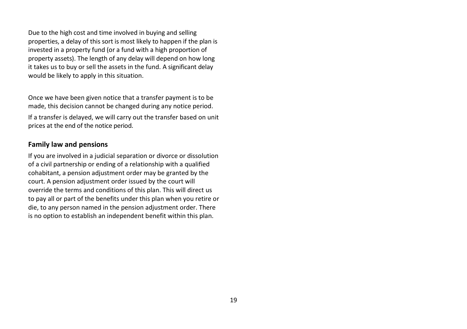<span id="page-20-0"></span>Due to the high cost and time involved in buying and selling properties, a delay of this sort is most likely to happen if the plan is invested in a property fund (or a fund with a high proportion of property assets). The length of any delay will depend on how long it takes us to buy or sell the assets in the fund. A significant delay would be likely to apply in this situation.

Once we have been given notice that a transfer payment is to be made, this decision cannot be changed during any notice period. If a transfer is delayed, we will carry out the transfer based on unit prices at the end of the notice period.

#### **Family law and pensions**

If you are involved in a judicial separation or divorce or dissolution of a civil partnership or ending of a relationship with a qualified cohabitant, a pension adjustment order may be granted by the court. A pension adjustment order issued by the court will override the terms and conditions of this plan. This will direct us to pay all or part of the benefits under this plan when you retire or die, to any person named in the pension adjustment order. There is no option to establish an independent benefit within this plan.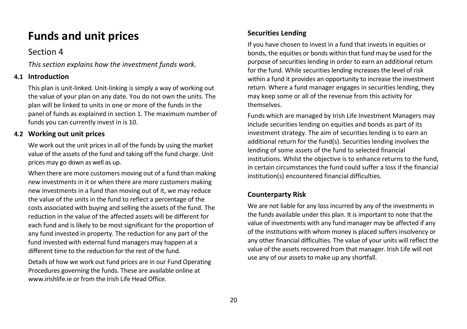## **Funds and unit prices**

### <span id="page-21-0"></span>Section 4

<span id="page-21-1"></span>*This section explains how the investment funds work.* 

#### **4.1 Introduction**

This plan is unit-linked. Unit-linking is simply a way of working out the value of your plan on any date. You do not own the units. The plan will be linked to units in one or more of the funds in the panel of funds as explained in section 1. The maximum number of funds you can currently invest in is 10.

#### **4.2 Working out unit prices**

We work out the unit prices in all of the funds by using the market value of the assets of the fund and taking off the fund charge. Unit prices may go down as well as up.

When there are more customers moving out of a fund than making new investments in it or when there are more customers making new investments in a fund than moving out of it, we may reduce the value of the units in the fund to reflect a percentage of the costs associated with buying and selling the assets of the fund. The reduction in the value of the affected assets will be different for each fund and is likely to be most significant for the proportion of any fund invested in property. The reduction for any part of the fund invested with external fund managers may happen at a different time to the reduction for the rest of the fund.

Details of how we work out fund prices are in our Fund Operating Procedures governing the funds. These are available online at www.irishlife.ie or from the Irish Life Head Office

### **Securities Lending**

If you have chosen to invest in a fund that invests in equities or bonds, the equities or bonds within that fund may be used for the purpose of securities lending in order to earn an additional return for the fund. While securities lending increases the level of risk within a fund it provides an opportunity to increase the investment return. Where a fund manager engages in securities lending, they may keep some or all of the revenue from this activity for themselves.

Funds which are managed by Irish Life Investment Managers may include securities lending on equities and bonds as part of its investment strategy. The aim of securities lending is to earn an additional return for the fund(s). Securities lending involves the lending of some assets of the fund to selected financial institutions. Whilst the objective is to enhance returns to the fund, in certain circumstances the fund could suffer a loss if the financial institution(s) encountered financial difficulties.

### **Counterparty Risk**

We are not liable for any loss incurred by any of the investments in the funds available under this plan. It is important to note that the value of investments with any fund manager may be affected if any of the institutions with whom money is placed suffers insolvency or any other financial difficulties. The value of your units will reflect the value of the assets recovered from that manager. Irish Life will not use any of our assets to make up any shortfall.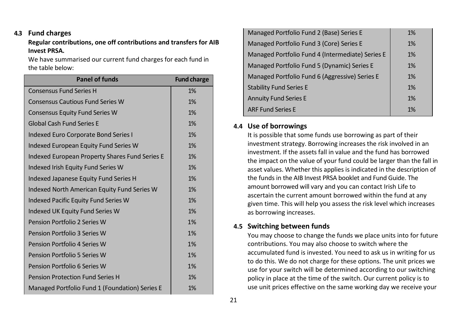#### **4.3 Fund charges**

#### **Regular contributions, one off contributions and transfers for AIB Invest PRSA.**

We have summarised our current fund charges for each fund in the table below:

| <b>Panel of funds</b>                                 | <b>Fund charge</b> |
|-------------------------------------------------------|--------------------|
| <b>Consensus Fund Series H</b>                        | 1%                 |
| <b>Consensus Cautious Fund Series W</b>               | 1%                 |
| <b>Consensus Equity Fund Series W</b>                 | 1%                 |
| <b>Global Cash Fund Series E</b>                      | 1%                 |
| <b>Indexed Euro Corporate Bond Series I</b>           | 1%                 |
| Indexed European Equity Fund Series W                 | 1%                 |
| <b>Indexed European Property Shares Fund Series E</b> | 1%                 |
| Indexed Irish Equity Fund Series W                    | 1%                 |
| Indexed Japanese Equity Fund Series H                 | 1%                 |
| Indexed North American Equity Fund Series W           | 1%                 |
| Indexed Pacific Equity Fund Series W                  | 1%                 |
| Indexed UK Equity Fund Series W                       | 1%                 |
| Pension Portfolio 2 Series W                          | 1%                 |
| Pension Portfolio 3 Series W                          | 1%                 |
| Pension Portfolio 4 Series W                          | 1%                 |
| Pension Portfolio 5 Series W                          | 1%                 |
| Pension Portfolio 6 Series W                          | 1%                 |
| <b>Pension Protection Fund Series H</b>               | 1%                 |
| Managed Portfolio Fund 1 (Foundation) Series E        | 1%                 |

| Managed Portfolio Fund 2 (Base) Series E         | 1% |
|--------------------------------------------------|----|
| Managed Portfolio Fund 3 (Core) Series E         | 1% |
| Managed Portfolio Fund 4 (Intermediate) Series E | 1% |
| Managed Portfolio Fund 5 (Dynamic) Series E      | 1% |
| Managed Portfolio Fund 6 (Aggressive) Series E   | 1% |
| <b>Stability Fund Series E</b>                   | 1% |
| <b>Annuity Fund Series E</b>                     | 1% |
| <b>ARF Fund Series E</b>                         | 1% |
|                                                  |    |

#### **4.4 Use of borrowings**

It is possible that some funds use borrowing as part of their investment strategy. Borrowing increases the risk involved in an investment. If the assets fall in value and the fund has borrowed the impact on the value of your fund could be larger than the fall in asset values. Whether this applies is indicated in the description of the funds in the AIB Invest PRSA booklet and Fund Guide. The amount borrowed will vary and you can contact Irish Life to ascertain the current amount borrowed within the fund at any given time. This will help you assess the risk level which increases as borrowing increases.

#### **4.5 Switching between funds**

You may choose to change the funds we place units into for future contributions. You may also choose to switch where the accumulated fund is invested. You need to ask us in writing for us to do this. We do not charge for these options. The unit prices we use for your switch will be determined according to our switching policy in place at the time of the switch. Our current policy is to use unit prices effective on the same working day we receive your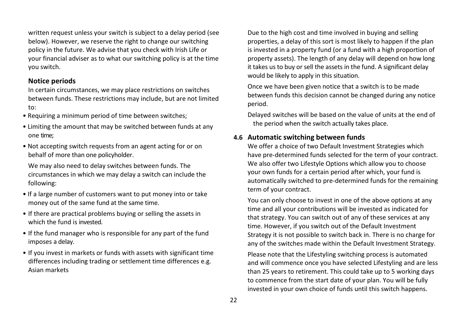written request unless your switch is subject to a delay period (see below). However, we reserve the right to change our switching policy in the future. We advise that you check with Irish Life or your financial adviser as to what our switching policy is at the time you switch.

#### **Notice periods**

In certain circumstances, we may place restrictions on switches between funds. These restrictions may include, but are not limited to:

- Requiring a minimum period of time between switches;
- Limiting the amount that may be switched between funds at any one time;
- Not accepting switch requests from an agent acting for or on behalf of more than one policyholder.

We may also need to delay switches between funds. The circumstances in which we may delay a switch can include the following:

- If a large number of customers want to put money into or take money out of the same fund at the same time.
- If there are practical problems buying or selling the assets in which the fund is invested.
- If the fund manager who is responsible for any part of the fund imposes a delay.
- If you invest in markets or funds with assets with significant time differences including trading or settlement time differences e.g. Asian markets

Due to the high cost and time involved in buying and selling properties, a delay of this sort is most likely to happen if the plan is invested in a property fund (or a fund with a high proportion of property assets). The length of any delay will depend on how long it takes us to buy or sell the assets in the fund. A significant delay would be likely to apply in this situation.

Once we have been given notice that a switch is to be made between funds this decision cannot be changed during any notice period.

Delayed switches will be based on the value of units at the end of the period when the switch actually takes place.

#### **4.6 Automatic switching between funds**

We offer a choice of two Default Investment Strategies which have pre-determined funds selected for the term of your contract. We also offer two Lifestyle Options which allow you to choose your own funds for a certain period after which, your fund is automatically switched to pre-determined funds for the remaining term of your contract.

You can only choose to invest in one of the above options at any time and all your contributions will be invested as indicated for that strategy. You can switch out of any of these services at any time. However, if you switch out of the Default Investment Strategy it is not possible to switch back in. There is no charge for any of the switches made within the Default Investment Strategy.

Please note that the Lifestyling switching process is automated and will commence once you have selected Lifestyling and are less than 25 years to retirement. This could take up to 5 working days to commence from the start date of your plan. You will be fully invested in your own choice of funds until this switch happens.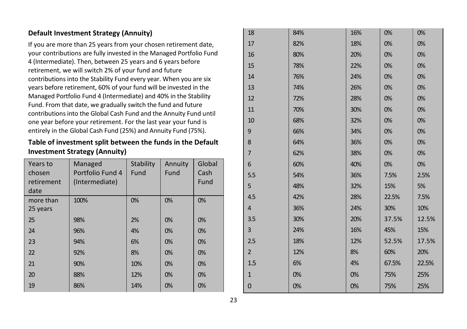#### **Default Investment Strategy (Annuity)**

If you are more than 25 years from your chosen retirement date, your contributions are fully invested in the Managed Portfolio Fund 4 (Intermediate). Then, between 25 years and 6 years before retirement, we will switch 2% of your fund and future contributions into the Stability Fund every year. When you are six years before retirement, 60% of your fund will be invested in the Managed Portfolio Fund 4 (Intermediate) and 40% in the Stability Fund. From that date, we gradually switch the fund and future contributions into the Global Cash Fund and the Annuity Fund until one year before your retirement. For the last year your fund is entirely in the Global Cash Fund (25%) and Annuity Fund (75%).

**Table of investment split between the funds in the Default Investment Strategy (Annuity)** 

| Years to<br>chosen<br>retirement<br>date | Managed<br>Portfolio Fund 4<br>(Intermediate) | Stability<br>Fund | Annuity<br>Fund | Global<br>Cash<br>Fund |
|------------------------------------------|-----------------------------------------------|-------------------|-----------------|------------------------|
| more than<br>25 years                    | 100%                                          | 0%                | 0%              | 0%                     |
| 25                                       | 98%                                           | 2%                | 0%              | 0%                     |
| 24                                       | 96%                                           | 4%                | 0%              | 0%                     |
| 23                                       | 94%                                           | 6%                | 0%              | 0%                     |
| 22                                       | 92%                                           | 8%                | 0%              | 0%                     |
| 21                                       | 90%                                           | 10%               | 0%              | 0%                     |
| 20                                       | 88%                                           | 12%               | 0%              | 0%                     |
| 19                                       | 86%                                           | 14%               | 0%              | 0%                     |

| 18             | 84% | 16% | 0%    | 0%    |
|----------------|-----|-----|-------|-------|
| 17             | 82% | 18% | 0%    | 0%    |
| 16             | 80% | 20% | 0%    | 0%    |
| 15             | 78% | 22% | 0%    | 0%    |
| 14             | 76% | 24% | 0%    | 0%    |
| 13             | 74% | 26% | 0%    | 0%    |
| 12             | 72% | 28% | 0%    | 0%    |
| 11             | 70% | 30% | 0%    | 0%    |
| 10             | 68% | 32% | 0%    | 0%    |
| 9              | 66% | 34% | 0%    | 0%    |
| 8              | 64% | 36% | 0%    | 0%    |
| $\overline{7}$ | 62% | 38% | 0%    | 0%    |
| 6              | 60% | 40% | 0%    | 0%    |
| 5.5            | 54% | 36% | 7.5%  | 2.5%  |
| 5              | 48% | 32% | 15%   | 5%    |
| 4.5            | 42% | 28% | 22.5% | 7.5%  |
| 4              | 36% | 24% | 30%   | 10%   |
| 3.5            | 30% | 20% | 37.5% | 12.5% |
| 3              | 24% | 16% | 45%   | 15%   |
| 2.5            | 18% | 12% | 52.5% | 17.5% |
| $\overline{2}$ | 12% | 8%  | 60%   | 20%   |
| 1.5            | 6%  | 4%  | 67.5% | 22.5% |
| $\mathbf{1}$   | 0%  | 0%  | 75%   | 25%   |
| 0              | 0%  | 0%  | 75%   | 25%   |
|                |     |     |       |       |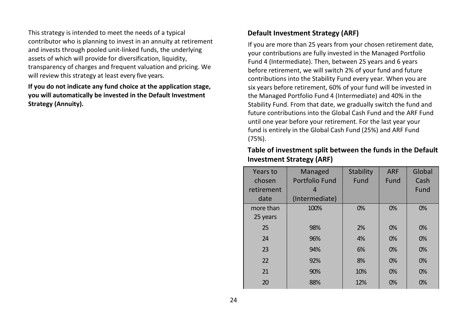This strategy is intended to meet the needs of a typical contributor who is planning to invest in an annuity at retirement and invests through pooled unit-linked funds, the underlying assets of which will provide for diversification, liquidity, transparency of charges and frequent valuation and pricing. We will review this strategy at least every five years.

**If you do not indicate any fund choice at the application stage, you will automatically be invested in the Default Investment Strategy (Annuity).** 

#### **Default Investment Strategy (ARF)**

If you are more than 25 years from your chosen retirement date, your contributions are fully invested in the Managed Portfolio Fund 4 (Intermediate). Then, between 25 years and 6 years before retirement, we will switch 2% of your fund and future contributions into the Stability Fund every year. When you are six years before retirement, 60% of your fund will be invested in the Managed Portfolio Fund 4 (Intermediate) and 40% in the Stability Fund. From that date, we gradually switch the fund and future contributions into the Global Cash Fund and the ARF Fund until one year before your retirement. For the last year your fund is entirely in the Global Cash Fund (25%) and ARF Fund (75%).

| Years to   | Managed        | Stability | <b>ARF</b> | Global |
|------------|----------------|-----------|------------|--------|
| chosen     | Portfolio Fund | Fund      | Fund       | Cash   |
| retirement |                |           |            | Fund   |
| date       | (Intermediate) |           |            |        |
| more than  | 100%           | 0%        | 0%         | 0%     |
| 25 years   |                |           |            |        |
| 25         | 98%            | 2%        | 0%         | 0%     |
| 24         | 96%            | 4%        | 0%         | 0%     |
| 23         | 94%            | 6%        | 0%         | 0%     |
| 22         | 92%            | 8%        | 0%         | 0%     |
| 21         | 90%            | 10%       | 0%         | 0%     |
| 20         | 88%            | 12%       | 0%         | 0%     |

#### **Table of investment split between the funds in the Default Investment Strategy (ARF)**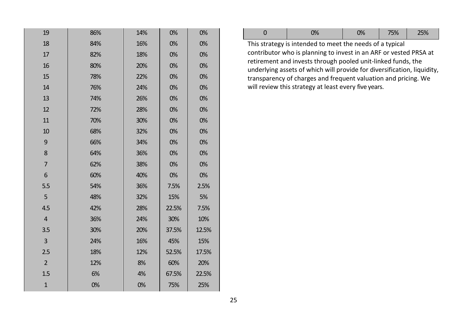| 19             | 86% | 14% | 0%    | 0%    |
|----------------|-----|-----|-------|-------|
| 18             | 84% | 16% | 0%    | 0%    |
| 17             | 82% | 18% | 0%    | 0%    |
| 16             | 80% | 20% | 0%    | 0%    |
| 15             | 78% | 22% | 0%    | 0%    |
| 14             | 76% | 24% | 0%    | 0%    |
| 13             | 74% | 26% | 0%    | 0%    |
| 12             | 72% | 28% | 0%    | 0%    |
| 11             | 70% | 30% | 0%    | 0%    |
| 10             | 68% | 32% | 0%    | 0%    |
| 9              | 66% | 34% | 0%    | 0%    |
| 8              | 64% | 36% | 0%    | 0%    |
| $\overline{7}$ | 62% | 38% | 0%    | 0%    |
| 6              | 60% | 40% | 0%    | 0%    |
| 5.5            | 54% | 36% | 7.5%  | 2.5%  |
| 5              | 48% | 32% | 15%   | 5%    |
| 4.5            | 42% | 28% | 22.5% | 7.5%  |
| 4              | 36% | 24% | 30%   | 10%   |
| 3.5            | 30% | 20% | 37.5% | 12.5% |
| 3              | 24% | 16% | 45%   | 15%   |
| 2.5            | 18% | 12% | 52.5% | 17.5% |
| $\overline{2}$ | 12% | 8%  | 60%   | 20%   |
| 1.5            | 6%  | 4%  | 67.5% | 22.5% |
| $\mathbf{1}$   | 0%  | 0%  | 75%   | 25%   |

|  | 0% | 0% | $\vert$ 75% $\vert$ | 25% |
|--|----|----|---------------------|-----|
|--|----|----|---------------------|-----|

This strategy is intended to meet the needs of a typical contributor who is planning to invest in an ARF or vested PRSA at retirement and invests through pooled unit-linked funds, the underlying assets of which will provide for diversification, liquidity, transparency of charges and frequent valuation and pricing. We will review this strategy at least every five years.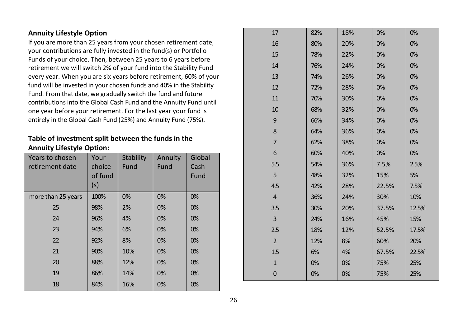#### **Annuity Lifestyle Option**

If you are more than 25 years from your chosen retirement date, your contributions are fully invested in the fund(s) or Portfolio Funds of your choice. Then, between 25 years to 6 years before retirement we will switch 2% of your fund into the Stability Fund every year. When you are six years before retirement, 60% of your fund will be invested in your chosen funds and 40% in the Stability Fund. From that date, we gradually switch the fund and future contributions into the Global Cash Fund and the Annuity Fund until one year before your retirement. For the last year your fund is entirely in the Global Cash Fund (25%) and Annuity Fund (75%).

#### **Table of investment split between the funds in the Annuity Lifestyle Option:**

| Years to chosen<br>retirement date | Your<br>choice<br>of fund<br>(s) | Stability<br>Fund | Annuity<br>Fund | Global<br>Cash<br>Fund |
|------------------------------------|----------------------------------|-------------------|-----------------|------------------------|
| more than 25 years                 | 100%                             | 0%                | 0%              | 0%                     |
| 25                                 | 98%                              | 2%                | 0%              | 0%                     |
| 24                                 | 96%                              | 4%                | 0%              | 0%                     |
| 23                                 | 94%                              | 6%                | 0%              | 0%                     |
| 22                                 | 92%                              | 8%                | 0%              | 0%                     |
| 21                                 | 90%                              | 10%               | 0%              | 0%                     |
| 20                                 | 88%                              | 12%               | 0%              | 0%                     |
| 19                                 | 86%                              | 14%               | 0%              | 0%                     |
| 18                                 | 84%                              | 16%               | 0%              | 0%                     |

| 17             | 82% | 18% | 0%    | 0%    |
|----------------|-----|-----|-------|-------|
| 16             | 80% | 20% | 0%    | 0%    |
| 15             | 78% | 22% | 0%    | 0%    |
| 14             | 76% | 24% | 0%    | 0%    |
| 13             | 74% | 26% | 0%    | 0%    |
| 12             | 72% | 28% | 0%    | 0%    |
| 11             | 70% | 30% | 0%    | 0%    |
| 10             | 68% | 32% | 0%    | 0%    |
| 9              | 66% | 34% | 0%    | 0%    |
| 8              | 64% | 36% | 0%    | 0%    |
| 7              | 62% | 38% | 0%    | 0%    |
| 6              | 60% | 40% | 0%    | 0%    |
| 5.5            | 54% | 36% | 7.5%  | 2.5%  |
| 5              | 48% | 32% | 15%   | 5%    |
| 4.5            | 42% | 28% | 22.5% | 7.5%  |
| $\overline{4}$ | 36% | 24% | 30%   | 10%   |
| 3.5            | 30% | 20% | 37.5% | 12.5% |
| 3              | 24% | 16% | 45%   | 15%   |
| 2.5            | 18% | 12% | 52.5% | 17.5% |
| $\overline{2}$ | 12% | 8%  | 60%   | 20%   |
| 1.5            | 6%  | 4%  | 67.5% | 22.5% |
| $\mathbf{1}$   | 0%  | 0%  | 75%   | 25%   |
| $\mathbf 0$    | 0%  | 0%  | 75%   | 25%   |
|                |     |     |       |       |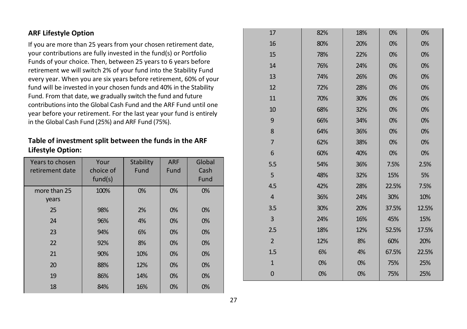#### **ARF Lifestyle Option**

If you are more than 25 years from your chosen retirement date, your contributions are fully invested in the fund(s) or Portfolio Funds of your choice. Then, between 25 years to 6 years before retirement we will switch 2% of your fund into the Stability Fund every year. When you are six years before retirement, 60% of your fund will be invested in your chosen funds and 40% in the Stability Fund. From that date, we gradually switch the fund and future contributions into the Global Cash Fund and the ARF Fund until one year before your retirement. For the last year your fund is entirely in the Global Cash Fund (25%) and ARF Fund (75%).

**Table of investment split between the funds in the ARF Lifestyle Option:** 

| Years to chosen | Your      | Stability | <b>ARF</b> | Global |
|-----------------|-----------|-----------|------------|--------|
| retirement date | choice of | Fund      | Fund       | Cash   |
|                 | fund(s)   |           |            | Fund   |
| more than 25    | 100%      | 0%        | 0%         | 0%     |
| years           |           |           |            |        |
| 25              | 98%       | 2%        | 0%         | 0%     |
| 24              | 96%       | 4%        | 0%         | 0%     |
| 23              | 94%       | 6%        | 0%         | 0%     |
| 22              | 92%       | 8%        | 0%         | 0%     |
| 21              | 90%       | 10%       | 0%         | 0%     |
| 20              | 88%       | 12%       | 0%         | 0%     |
| 19              | 86%       | 14%       | 0%         | 0%     |
| 18              | 84%       | 16%       | 0%         | 0%     |

| 17             | 82% | 18% | 0%    | 0%    |
|----------------|-----|-----|-------|-------|
| 16             | 80% | 20% | 0%    | 0%    |
| 15             | 78% | 22% | 0%    | 0%    |
| 14             | 76% | 24% | 0%    | 0%    |
| 13             | 74% | 26% | 0%    | 0%    |
| 12             | 72% | 28% | 0%    | 0%    |
| 11             | 70% | 30% | 0%    | 0%    |
| 10             | 68% | 32% | 0%    | 0%    |
| 9              | 66% | 34% | 0%    | 0%    |
| 8              | 64% | 36% | 0%    | 0%    |
| $\overline{7}$ | 62% | 38% | 0%    | 0%    |
| 6              | 60% | 40% | 0%    | 0%    |
| 5.5            | 54% | 36% | 7.5%  | 2.5%  |
| 5              | 48% | 32% | 15%   | 5%    |
| 4.5            | 42% | 28% | 22.5% | 7.5%  |
| $\overline{4}$ | 36% | 24% | 30%   | 10%   |
| 3.5            | 30% | 20% | 37.5% | 12.5% |
| $\overline{3}$ | 24% | 16% | 45%   | 15%   |
| 2.5            | 18% | 12% | 52.5% | 17.5% |
| $\overline{2}$ | 12% | 8%  | 60%   | 20%   |
| 1.5            | 6%  | 4%  | 67.5% | 22.5% |
| $\mathbf{1}$   | 0%  | 0%  | 75%   | 25%   |
| $\mathbf 0$    | 0%  | 0%  | 75%   | 25%   |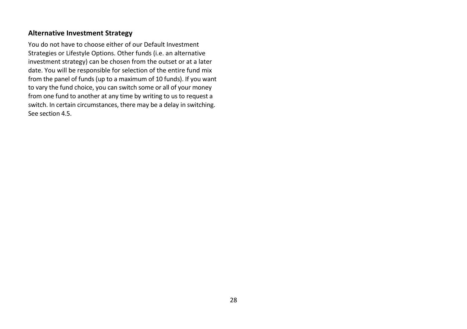#### <span id="page-29-0"></span>**Alternative Investment Strategy**

You do not have to choose either of our Default Investment Strategies or Lifestyle Options. Other funds (i.e. an alternative investment strategy) can be chosen from the outset or at a later date. You will be responsible for selection of the entire fund mix from the panel of funds (up to a maximum of 10 funds). If you want to vary the fund choice, you can switch some or all of your money from one fund to another at any time by writing to us to request a switch. In certain circumstances, there may be a delay in switching. See section 4.5.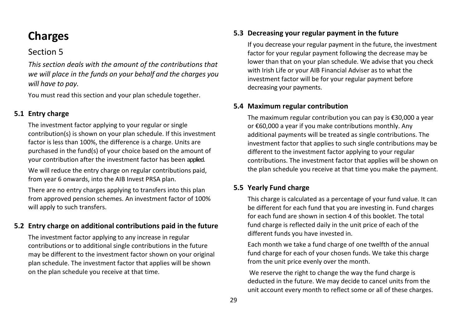## **Charges**

## <span id="page-30-0"></span>Section 5

<span id="page-30-1"></span>*This section deals with the amount of the contributions that we will place in the funds on your behalf and the charges you will have to pay.* 

You must read this section and your plan schedule together.

#### **5.1 Entry charge**

The investment factor applying to your regular or single contribution(s) is shown on your plan schedule. If this investment factor is less than 100%, the difference is a charge. Units are purchased in the fund(s) of your choice based on the amount of your contribution after the investment factor has been applied.

We will reduce the entry charge on regular contributions paid, from year 6 onwards, into the AIB Invest PRSA plan.

There are no entry charges applying to transfers into this plan from approved pension schemes. An investment factor of 100% will apply to such transfers.

#### **5.2 Entry charge on additional contributions paid in the future**

The investment factor applying to any increase in regular contributions or to additional single contributions in the future may be different to the investment factor shown on your original plan schedule. The investment factor that applies will be shown on the plan schedule you receive at that time.

#### **5.3 Decreasing your regular payment in the future**

If you decrease your regular payment in the future, the investment factor for your regular payment following the decrease may be lower than that on your plan schedule. We advise that you check with Irish Life or your AIB Financial Adviser as to what the investment factor will be for your regular payment before decreasing your payments.

#### **5.4 Maximum regular contribution**

The maximum regular contribution you can pay is €30,000 a year or €60,000 a year if you make contributions monthly. Any additional payments will be treated as single contributions. The investment factor that applies to such single contributions may be different to the investment factor applying to your regular contributions. The investment factor that applies will be shown on the plan schedule you receive at that time you make the payment.

#### **5.5 Yearly Fund charge**

This charge is calculated as a percentage of your fund value. It can be different for each fund that you are investing in. Fund charges for each fund are shown in section 4 of this booklet. The total fund charge is reflected daily in the unit price of each of the different funds you have invested in.

Each month we take a fund charge of one twelfth of the annual fund charge for each of your chosen funds. We take this charge from the unit price evenly over the month.

We reserve the right to change the way the fund charge is deducted in the future. We may decide to cancel units from the unit account every month to reflect some or all of these charges.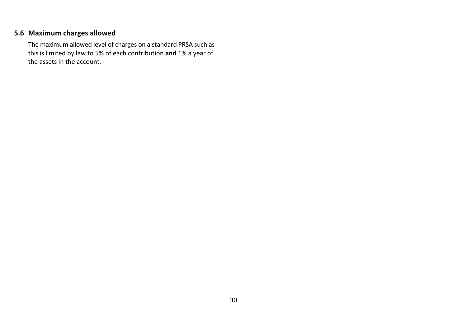### **5.6 Maximum charges allowed**

<span id="page-31-0"></span>The maximum allowed level of charges on a standard PRSA such as this is limited by law to 5% of each contribution **and** 1% a year of the assets in the account.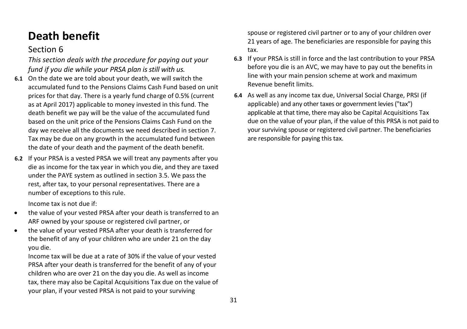## **Death benefit**

## <span id="page-32-0"></span>Section 6

<span id="page-32-1"></span>*This section deals with the procedure for paying out your fund if you die while your PRSA plan is still with us.* 

- **6.1** On the date we are told about your death, we will switch the accumulated fund to the Pensions Claims Cash Fund based on unit prices for that day. There is a yearly fund charge of 0.5% (current as at April 2017) applicable to money invested in this fund. The death benefit we pay will be the value of the accumulated fund based on the unit price of the Pensions Claims Cash Fund on the day we receive all the documents we need described in section 7. Tax may be due on any growth in the accumulated fund between the date of your death and the payment of the death benefit.
- **6.2** If your PRSA is a vested PRSA we will treat any payments after you die as income for the tax year in which you die, and they are taxed under the PAYE system as outlined in section 3.5. We pass the rest, after tax, to your personal representatives. There are a number of exceptions to this rule.

Income tax is not due if:

- the value of your vested PRSA after your death is transferred to an ARF owned by your spouse or registered civil partner, or
- the value of your vested PRSA after your death is transferred for the benefit of any of your children who are under 21 on the day you die.

Income tax will be due at a rate of 30% if the value of your vested PRSA after your death is transferred for the benefit of any of your children who are over 21 on the day you die. As well as income tax, there may also be Capital Acquisitions Tax due on the value of your plan, if your vested PRSA is not paid to your surviving

spouse or registered civil partner or to any of your children over 21 years of age. The beneficiaries are responsible for paying this tax.

- **6.3** If your PRSA is still in force and the last contribution to your PRSA before you die is an AVC, we may have to pay out the benefits in line with your main pension scheme at work and maximum Revenue benefit limits.
- **6.4** As well as any income tax due, Universal Social Charge, PRSI (if applicable) and any other taxes or government levies ("tax") applicable at that time, there may also be Capital Acquisitions Tax due on the value of your plan, if the value of this PRSA is not paid to your surviving spouse or registered civil partner. The beneficiaries are responsible for paying this tax.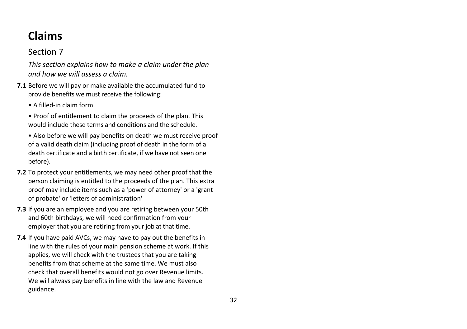## <span id="page-33-3"></span><span id="page-33-0"></span>**Claims**

## <span id="page-33-1"></span>Section 7

<span id="page-33-2"></span>*This section explains how to make a claim under the plan and how we will assess a claim.*

- **7.1** Before we will pay or make available the accumulated fund to provide benefits we must receive the following:
	- A filled-in claim form.

• Proof of entitlement to claim the proceeds of the plan. This would include these terms and conditions and the schedule.

- Also before we will pay benefits on death we must receive proof of a valid death claim (including proof of death in the form of a death certificate and a birth certificate, if we have not seen one before).
- **7.2** To protect your entitlements, we may need other proof that the person claiming is entitled to the proceeds of the plan. This extra proof may include items such as a 'power of attorney' or a 'grant of probate' or 'letters of administration'
- **7.3** If you are an employee and you are retiring between your 50th and 60th birthdays, we will need confirmation from your employer that you are retiring from your job at that time.
- **7.4** If you have paid AVCs, we may have to pay out the benefits in line with the rules of your main pension scheme at work. If this applies, we will check with the trustees that you are taking benefits from that scheme at the same time. We must also check that overall benefits would not go over Revenue limits. We will always pay benefits in line with the law and Revenue guidance.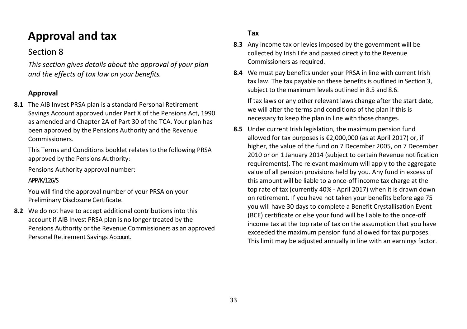## **Approval and tax**

## <span id="page-34-0"></span>Section 8

<span id="page-34-1"></span>*This section gives details about the approval of your plan and the effects of tax law on your benefits.* 

## **Approval**

**8.1** The AIB Invest PRSA plan is a standard Personal Retirement Savings Account approved under Part X of the Pensions Act, 1990 as amended and Chapter 2A of Part 30 of the TCA. Your plan has been approved by the Pensions Authority and the Revenue Commissioners.

This Terms and Conditions booklet relates to the following PRSA approved by the Pensions Authority:

Pensions Authority approval number:

#### APP/K/126/S

You will find the approval number of your PRSA on your Preliminary Disclosure Certificate.

**8.2** We do not have to accept additional contributions into this account if AIB Invest PRSA plan is no longer treated by the Pensions Authority or the Revenue Commissioners as an approved Personal Retirement Savings Account.

### **Tax**

- **8.3** Any income tax or levies imposed by the government will be collected by Irish Life and passed directly to the Revenue Commissioners as required.
- **8.4** We must pay benefits under your PRSA in line with current Irish tax law. The tax payable on these benefits is outlined in Section 3, subject to the maximum levels outlined in 8.5 and 8.6.

If tax laws or any other relevant laws change after the start date, we will alter the terms and conditions of the plan if this is necessary to keep the plan in line with those changes.

**8.5** Under current Irish legislation, the maximum pension fund allowed for tax purposes is €2,000,000 (as at April 2017) or, if higher, the value of the fund on 7 December 2005, on 7 December 2010 or on 1 January 2014 (subject to certain Revenue notification requirements). The relevant maximum will apply to the aggregate value of all pension provisions held by you. Any fund in excess of this amount will be liable to a once-off income tax charge at the top rate of tax (currently 40% - April 2017) when it is drawn down on retirement. If you have not taken your benefits before age 75 you will have 30 days to complete a Benefit Crystallisation Event (BCE) certificate or else your fund will be liable to the once-off income tax at the top rate of tax on the assumption that you have exceeded the maximum pension fund allowed for tax purposes. This limit may be adjusted annually in line with an earnings factor.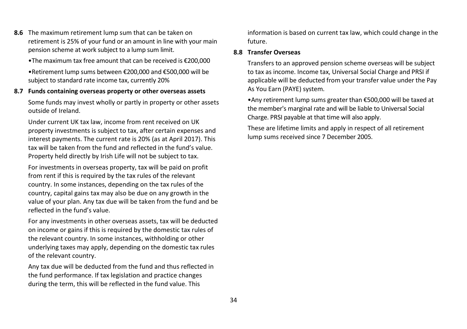**8.6** The maximum retirement lump sum that can be taken on retirement is 25% of your fund or an amount in line with your main pension scheme at work subject to a lump sum limit.

•The maximum tax free amount that can be received is €200,000 •Retirement lump sums between €200,000 and €500,000 will be subject to standard rate income tax, currently 20%

#### **8.7 Funds containing overseas property or other overseas assets**

Some funds may invest wholly or partly in property or other assets outside of Ireland.

Under current UK tax law, income from rent received on UK property investments is subject to tax, after certain expenses and interest payments. The current rate is 20% (as at April 2017). This tax will be taken from the fund and reflected in the fund's value. Property held directly by Irish Life will not be subject to tax.

For investments in overseas property, tax will be paid on profit from rent if this is required by the tax rules of the relevant country. In some instances, depending on the tax rules of the country, capital gains tax may also be due on any growth in the value of your plan. Any tax due will be taken from the fund and be reflected in the fund's value.

For any investments in other overseas assets, tax will be deducted on income or gains if this is required by the domestic tax rules of the relevant country. In some instances, withholding or other underlying taxes may apply, depending on the domestic tax rules of the relevant country.

Any tax due will be deducted from the fund and thus reflected in the fund performance. If tax legislation and practice changes during the term, this will be reflected in the fund value. This

information is based on current tax law, which could change in the future.

#### **8.8 Transfer Overseas**

Transfers to an approved pension scheme overseas will be subject to tax as income. Income tax, Universal Social Charge and PRSI if applicable will be deducted from your transfer value under the Pay As You Earn (PAYE) system.

•Any retirement lump sums greater than €500,000 will be taxed at the member's marginal rate and will be liable to Universal Social Charge. PRSI payable at that time will also apply.

These are lifetime limits and apply in respect of all retirement lump sums received since 7 December 2005.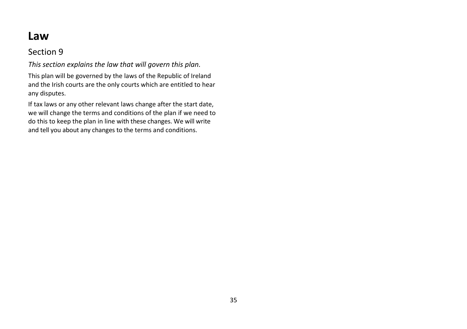## **Law**

## <span id="page-36-0"></span>Section 9

<span id="page-36-1"></span>*This section explains the law that will govern this plan.*

This plan will be governed by the laws of the Republic of Ireland and the Irish courts are the only courts which are entitled to hear any disputes.

If tax laws or any other relevant laws change after the start date, we will change the terms and conditions of the plan if we need to do this to keep the plan in line with these changes. We will write and tell you about any changes to the terms and conditions.